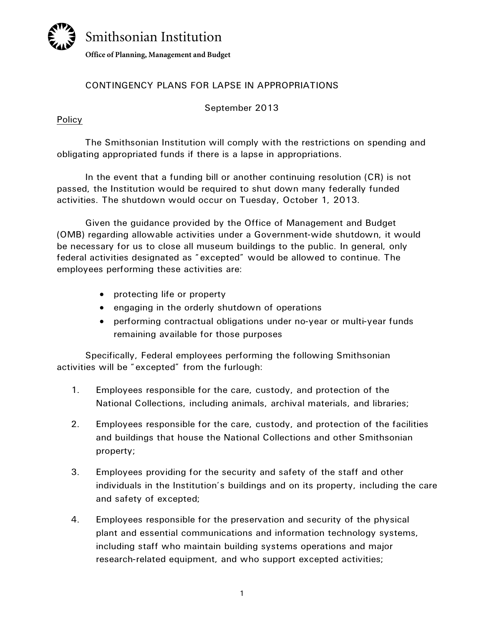# Smithsonian Institution **Office of Planning, Management and Budget**

## CONTINGENCY PLANS FOR LAPSE IN APPROPRIATIONS

September 2013

### Policy

The Smithsonian Institution will comply with the restrictions on spending and obligating appropriated funds if there is a lapse in appropriations.

In the event that a funding bill or another continuing resolution (CR) is not passed, the Institution would be required to shut down many federally funded activities. The shutdown would occur on Tuesday, October 1, 2013.

Given the guidance provided by the Office of Management and Budget (OMB) regarding allowable activities under a Government-wide shutdown, it would be necessary for us to close all museum buildings to the public. In general, only federal activities designated as "excepted" would be allowed to continue. The employees performing these activities are:

- protecting life or property
- engaging in the orderly shutdown of operations
- performing contractual obligations under no-year or multi-year funds remaining available for those purposes

Specifically, Federal employees performing the following Smithsonian activities will be "excepted" from the furlough:

- 1. Employees responsible for the care, custody, and protection of the National Collections, including animals, archival materials, and libraries;
- 2. Employees responsible for the care, custody, and protection of the facilities and buildings that house the National Collections and other Smithsonian property;
- 3. Employees providing for the security and safety of the staff and other individuals in the Institution's buildings and on its property, including the care and safety of excepted;
- 4. Employees responsible for the preservation and security of the physical plant and essential communications and information technology systems, including staff who maintain building systems operations and major research-related equipment, and who support excepted activities;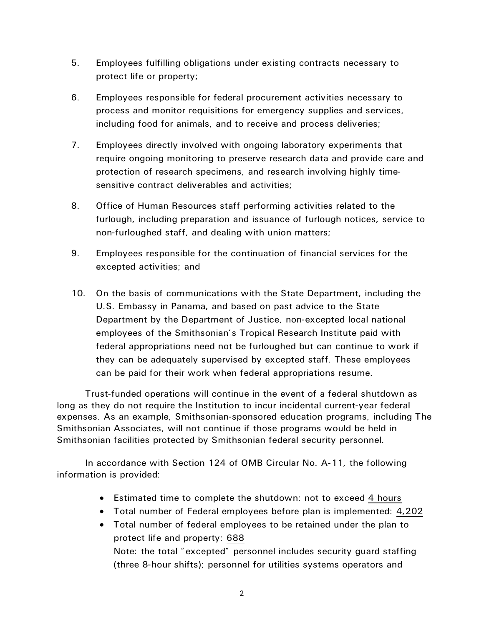- 5. Employees fulfilling obligations under existing contracts necessary to protect life or property;
- 6. Employees responsible for federal procurement activities necessary to process and monitor requisitions for emergency supplies and services, including food for animals, and to receive and process deliveries;
- 7. Employees directly involved with ongoing laboratory experiments that require ongoing monitoring to preserve research data and provide care and protection of research specimens, and research involving highly timesensitive contract deliverables and activities;
- 8. Office of Human Resources staff performing activities related to the furlough, including preparation and issuance of furlough notices, service to non-furloughed staff, and dealing with union matters;
- 9. Employees responsible for the continuation of financial services for the excepted activities; and
- 10. On the basis of communications with the State Department, including the U.S. Embassy in Panama, and based on past advice to the State Department by the Department of Justice, non-excepted local national employees of the Smithsonian's Tropical Research Institute paid with federal appropriations need not be furloughed but can continue to work if they can be adequately supervised by excepted staff. These employees can be paid for their work when federal appropriations resume.

Trust-funded operations will continue in the event of a federal shutdown as long as they do not require the Institution to incur incidental current-year federal expenses. As an example, Smithsonian-sponsored education programs, including The Smithsonian Associates, will not continue if those programs would be held in Smithsonian facilities protected by Smithsonian federal security personnel.

In accordance with Section 124 of OMB Circular No. A-11, the following information is provided:

- Estimated time to complete the shutdown: not to exceed 4 hours
- Total number of Federal employees before plan is implemented: 4,202
- Total number of federal employees to be retained under the plan to protect life and property: 688 Note: the total "excepted" personnel includes security guard staffing (three 8-hour shifts); personnel for utilities systems operators and